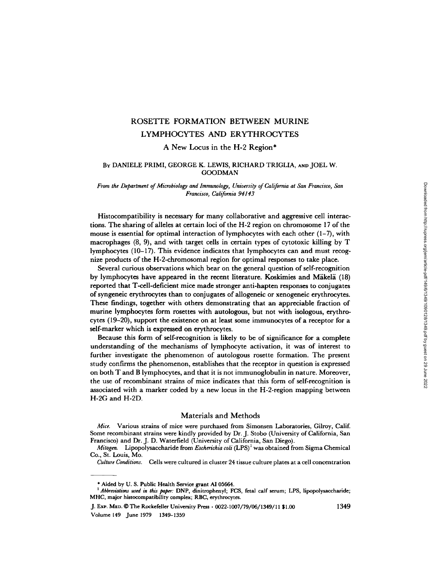# ROSETTE FORMATION BETWEEN MURINE LYMPHOCYTES AND ERYTHROCYTES

A New Locus in the H-2 Region\*

# BY DANIELE PRIMI, GEORGE K. LEWIS, RICHARD TRIGLIA, AND JOEL W, GOODMAN

*From the Department of Microbiology and Immunology, University of California at San Francisco, San Francisco, California 94143* 

Histocompatibility is necessary for many collaborative and aggressive cell interactions. The sharing of alleles at certain loci of the H-2 region on chromosome 17 of the mouse is essential for optimal interaction of lymphocytes with each other  $(1-7)$ , with macrophages (8, 9), and with target cells in certain types of cytotoxic killing by T lymphocytes (10-17). This evidence indicates that lymphocytes can and must recognize products of the H-2-chromosomal region for optimal responses to take place.

Several curious observations which bear on the general question of self-recognition by lymphocytes have appeared in the recent literature. Koskimies and Mäkelä (18) reported that T-cell-deficient mice made stronger anti-hapten responses to conjugates of syngeneic erythrocytes than to conjugates of allogeneic or xenogeneic erythrocytes. These findings, together with others demonstrating that an appreciable fraction of murine lymphocytes form rosettes with autologous, but not with isologous, erythrocytes (19-20), support the existence on at least some immunocytes of a receptor for a self-marker which is expressed on erythrocytes.

Because this form of self-recognition is likely to be of significance for a complete understanding of the mechanisms of lymphocyte activation, it was of interest to further investigate the phenomenon of autologous rosette formation. The present study confirms the phenomenon, establishes that the receptor in question is expressed on both T and B lymphocytes, and that it is not immunoglobulin in nature. Moreover, the use of recombinant strains of mice indicates that this form of self-recognition is associated with a marker coded by a new locus in the H-2-region mapping between H-2G and H-2D.

# Materials and Methods

*Mice.* Various strains of mice were purchased from Simonsen Laboratories, Gilroy, Calif. Some recombinant strains were kindly provided by Dr. J. Stobo (University of California, San Francisco) and Dr. J. D. Waterfield (University of California, San Diego).

*Mitogen.* Lipopolysaccharide from *Escherichia coli* (LPS)1 was obtained from Sigma Chemical Co., St. Louis, Mo.

*Culture Conditions.* Cells were cultured in cluster 24 tissue culture plates at a cell concentration

<sup>\*</sup> Aided by U. S. Public Health Service grant AI 05664.

*i Abbreviations used in this paper:* DNP, dinitrophenyl; FCS, fetal calf serum; LPS, lipopolysaccharide; MHC, major histocompatibility complex; RBC, erythrocytes.

J. Exp. MSD. © The Rockefeller University Press • 0022-1007/79/06/1349/11 \$1.00 1349 Volume 149 June 1979 1349-1359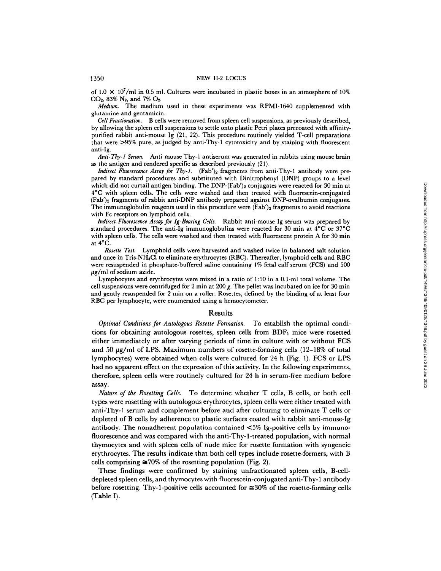of  $1.0 \times 10^7$ /ml in 0.5 ml. Cultures were incubated in plastic boxes in an atmosphere of 10%  $CO<sub>2</sub>$ , 83% N<sub>2</sub>, and 7%  $O<sub>2</sub>$ .

*Medium.* The medium used in these experiments was RPMI-1640 supplemented with glutamine and gentamicin.

*Cell Fractionation.* B cells were removed from spleen cell suspensions, as previously described, by allowing the spleen cell suspensions to settle onto plastic Petri plates precoated with affinitypurified rabbit anti-mouse Ig (21, 22). This procedure routinely yielded T-cell preparations that were >95% pure, as judged by anti-Thy-1 cytotoxicity and by staining with fluorescent anti-Ig.

*Anti-Thy-I Serum.* Anti-mouse Thy-1 antiserum was generated in rabbits using mouse brain as the antigen and rendered specific as described previously (21).

*Indirect Fluorescence Assay for Thy-1.* (Fab')<sub>2</sub> fragments from anti-Thy-1 antibody were prepared by standard procedures and substituted with Dinitrophenyl (DNP) groups to a level which did not curtail antigen binding. The DNP-(Fab')<sub>2</sub> conjugates were reacted for 30 min at 4°C with spleen cells. The cells were washed and then treated with fluorescein-conjugated (Fab')z fragments of rabbit anti-DNP antibody prepared against DNP-ovalbumin conjugates. The immunoglobulin reagents used in this procedure were  $(Fab')_2$  fragments to avoid reactions with Fc receptors on lymphoid cells.

*Indirect Fluorescence Assay for Ig-Bearing Cells.* Rabbit anti-mouse Ig serum was prepared by standard procedures. The anti-Ig immunoglobulins were reacted for 30 min at  $4^{\circ}$ C or 37 $^{\circ}$ C with spleen cells. The cells were washed and then treated with fluorescent protein A for 30 min at 4°C.

*Rosette Test.* Lymphoid cells were harvested and washed twice in balanced salt solution and once in Tris-NH<sub>4</sub>Cl to eliminate erythrocytes (RBC). Thereafter, lymphoid cells and RBC were resuspended in phosphate-buffered saline containing 1% fetal calf serum (FCS) and 500  $\mu$ g/ml of sodium azide.

Lymphocytes and erythrocytes were mixed in a ratio of 1:10 in a 0.1-ml total volume. The cell suspensions were centrifuged for 2 min at 200 g. The pellet was incubated on ice for 30 min and gently resuspended for 2 min on a roller. Rosettes, defined by the binding of at least four RBC per lymphocyte, were enumerated using a hemocytometer.

### Results

*Optimal Conditions for Autologous Rosette Formation.* To establish the optimal conditions for obtaining autologous rosettes, spleen cells from  $BDF<sub>1</sub>$  mice were rosetted either immediately or after varying periods of time in culture with or without FCS and 50  $\mu$ g/ml of LPS. Maximum numbers of rosette-forming cells (12–18% of total lymphocytes) were obtained when cells were cultured for 24 h (Fig. 1). FCS or LPS had no apparent effect on the expression of this activity. In the following experiments, therefore, spleen cells were routinely cultured for 24 h in serum-free medium before assay.

*Nature of the Rosetting Cells.* To determine whether T cells, B cells, or both cell types were rosetting with autologous erythrocytes, spleen cells were either treated with anti-Thy-1 serum and complement before and after culturing to eliminate T cells or depleted of B cells by adherence to plastic surfaces coated with rabbit anti-mouse-Ig antibody. The nonadherent population contained <5% Ig-positive cells by immunofluorescence and was compared with the anti-Thy-l-treated population, with normal thymocytes and with spleen cells of nude mice for rosette formation with syngeneic erythrocytes. The results indicate that both cell types include rosette-formers, with B cells comprising  $\approx 70\%$  of the rosetting population (Fig. 2).

These findings were confirmed by staining unfractionated spleen cells, B-celldepleted spleen cells, and thymocytes with fluorescein-conjugated anti-Thy-1 antibody before rosetting. Thy-1-positive cells accounted for  $\approx 30\%$  of the rosette-forming cells (Table I).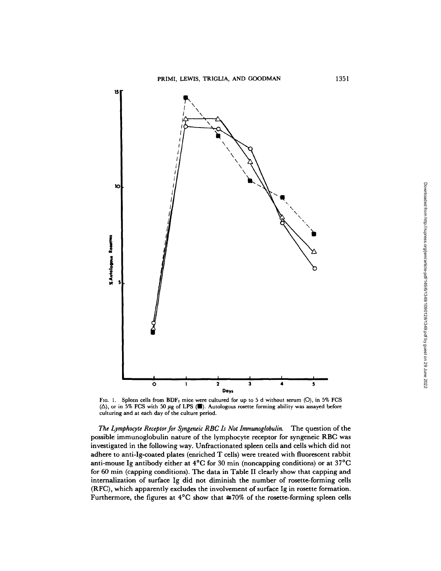

Fig. 1. Spleen cells from BDF<sub>1</sub> mice were cultured for up to 5 d without serum (O), in 5% FCS  $(\Delta)$ , or in 5% FCS with 50  $\mu$ g of LPS ( $\blacksquare$ ). Autologous rosette forming ability was assayed before culturing and at each day of the culture period.

*The Lymphocyte Receptor for Syngeneic RBC Is Not Immunoglobulin.* The question of the possible immunoglobulin nature of the lymphocyte receptor for syngeneic RBC was investigated in the following way. Unfractionated spleen cells and cells which did not adhere to anti-Ig-coated plates (enriched T cells) were treated with fluorescent rabbit anti-mouse Ig antibody either at  $4^{\circ}$ C for 30 min (noncapping conditions) or at  $37^{\circ}$ C for 60 min (capping conditions). The data in Table II clearly show that capping and internalization of surface Ig did not diminish the number of rosette-forming cells (RFC), which apparently excludes the involvement of surface Ig in rosette formation. Furthermore, the figures at  $4^{\circ}$ C show that  $\approx 70\%$  of the rosette-forming spleen cells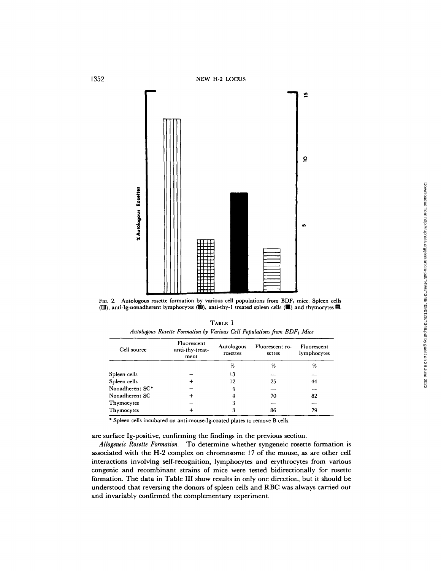

FIG. 2. Autologous rosette formation by various cell populations from  $BDF_1$  mice. Spleen cells ( $1$ ), anti-Ig-nonadherent lymphocytes ( $\ddot{u}$ ), anti-thy-1 treated spleen cells ( $\Box$ ) and thymocytes  $\Box$ .

|                                                                                     | TABLE I |  |  |  |
|-------------------------------------------------------------------------------------|---------|--|--|--|
| Autologous Rosette Formation by Various Cell Populations from BDF <sub>1</sub> Mice |         |  |  |  |

| Cell source     | Fluorescent<br>anti-thy-treat-<br>ment | Autologous<br>rosettes | Fluorescent ro-<br>settes | Fluorescent<br>lymphocytes |
|-----------------|----------------------------------------|------------------------|---------------------------|----------------------------|
|                 |                                        | %                      | %                         | %                          |
| Spleen cells    |                                        | 13                     |                           |                            |
| Spleen cells    |                                        | 12                     | 25                        | 44                         |
| Nonadherent SC* |                                        |                        |                           |                            |
| Nonadherent SC  |                                        |                        | 70                        | 82                         |
| Thymocytes      |                                        | З                      |                           |                            |
| Thymocytes      |                                        |                        | 86                        | 79                         |

\* Spleen cells incubated on anti-mouse-lg-coated plates to remove B cells.

are surface Ig-positive, confirming the findings in the previous section.

*Allogeneic Rosette Formation.* To determine whether syngeneic rosette formation is associated with the H-2 complex on chromosome 17 of the mouse, as are other cell interactions involving self-recognition, lymphocytes and erythrocytes from various congenic and recombinant strains of mice were tested bidirectionally for rosette formation. The data in Table III show results in only one direction, but it should be understood that reversing the donors of spleen cells and RBC was always carried out and invariably confirmed the complementary experiment.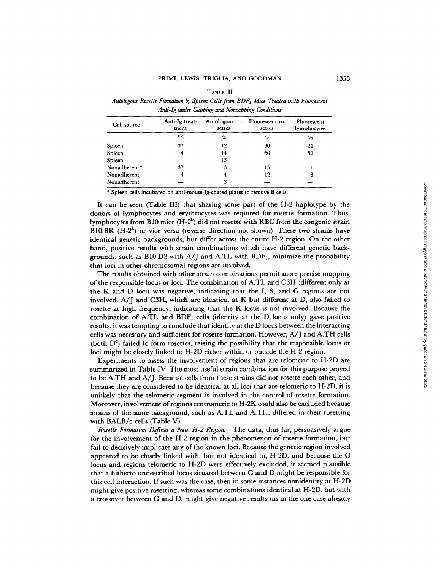| TABLE II                                                                                         |
|--------------------------------------------------------------------------------------------------|
| Autologous Rosette Formation by Spleen Cells from BDF <sub>1</sub> Mice Treated with Fluorescent |
| Anti-Ig under Capping and Noncapping Conditions                                                  |

| Cell source  | Anti-Ig treat-<br>ment | Autologous ro-<br>settes | Fluorescent ro-<br>settes | Fluorescent<br>lymphocytes |
|--------------|------------------------|--------------------------|---------------------------|----------------------------|
|              | $\degree$ C            | %                        | %                         | %                          |
| Spleen       | 37                     | 12                       | 30                        | 21                         |
| Spleen       |                        | 14                       | 60                        | 51                         |
| Spleen       |                        | 13                       |                           |                            |
| Nonadherent* | 37                     | 3                        | 15                        |                            |
| Nonadherent  |                        |                          | 12                        | 3                          |
| Nonadherent  |                        | З                        |                           |                            |

\* Spleen cells incubated on anti-mouse-Ig-coated plates to remove B cells.

It can be seen (Table III) that sharing some part of the H-2 haplotype by the donors of lymphocytes and erythrocytes was required for rosette formation. Thus, lymphocytes from B10 mice  $(H-2^b)$  did not rosette with RBC from the congenic strain B10.BR  $(H-2^k)$  or vice versa (reverse direction not shown). These two strains have identical genetic backgrounds, but differ across the entire H-2 region. On the other hand, positive results with strain combinations which have different genetic backgrounds, such as B10.D2 with  $A/J$  and A.TL with BDF<sub>1</sub>, minimize the probability that loci in other chromosomal regions are involved.

The results obtained with other strain combinations permit more precise mapping of the responsible locus or loci. The combination of A.TL and C3H (different only at the K and D loci) was negative, indicating that the I, S, and G regions are not involved. A/J and C3H, which are identical at K but different at D, also failed to rosette at high frequency, indicating that the K locus is not involved. Because the combination of A.TL and  $BDF_1$  cells (identity at the D locus only) gave positive results, it was tempting to conclude that identity at the D locus between the interacting cells was necessary and sufficient for rosette formation. However, A/J and A.TH cells (both  $D^d$ ) failed to form rosettes, raising the possibility that the responsible locus or loci might be closely linked to H-2D either within or outside the H-2 region.

Experiments to assess the involvement of regions that are telomeric to H-2D are summarized in Table IV. The most useful strain combination for this purpose proved to be A.TH and A/J. Because cells from these strains did not rosette each other, and because they are considered to be identical at all loci that are telomeric to H-2D, it is unlikely that the telomeric segment is involved in the control of rosette formation. Moreover, involvement of regions centromeric to H-2K could also be excluded because strains of the same background, such as A.TL and A.TH, differed in their rosetting with BALB/c cells (Table V).

*Rosette Formation Defines a New H-2 Region.* The data, thus far, persuasively argue for the involvement of the H-2 region in the phenomenon of rosette formation, but fail to decisively implicate any of the known loci. Because the genetic region involved appeared to be closely linked with, but not identical to, H-2D, and because the G locus and regions telomeric to H-2D were effectively excluded, it seemed plausible that a hitherto undescribed locus situated between G and D might be responsible for this cell interaction. If such was the case, then in some instances nonidentity at H-2D might give positive rosetting, whereas some combinations identical at H-2D, but with a crossover between G and D, might give negative rresults (as in the one case already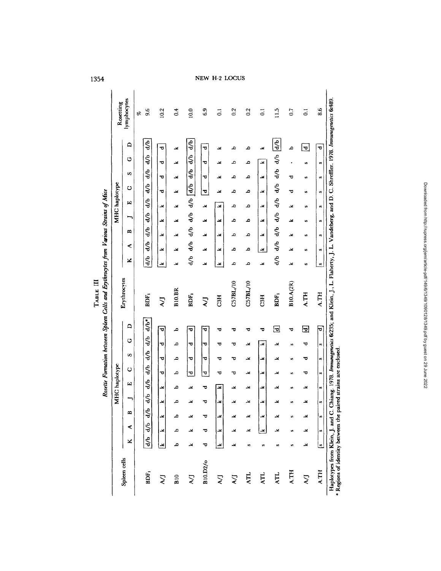| ರ<br>$\overline{a}$<br>م<br>م<br>ᢦ<br>ید<br>یم<br>بحہ<br>U)<br>$\frac{1}{d}$<br>d/b<br>$\frac{1}{\sigma}$<br>ш<br>عد<br>م<br>×<br>×<br>×<br>ء<br>بحہ<br>×<br>U)<br>$\frac{d}{d}$<br>$\frac{1}{\sigma}$<br>$\frac{6}{5}$<br>∽<br>×<br>م<br>ء<br>×<br>×<br>یحہ<br>×<br>ᆇ<br>ø<br>$\frac{d}{d}$<br>$\frac{1}{\sigma}$<br>$\frac{d}{d}$<br>$\approx$<br>ء<br>×<br>×<br>م<br>≚<br>×<br>×<br>یحہ<br>n<br>$\frac{d}{d}$<br>$\frac{1}{d}$<br>$\frac{6}{9}$<br>≺<br>م<br>×<br>ید<br>×<br>x<br>×<br>ء<br>×<br>s<br>ਵੀ<br>$\frac{1}{d}$<br>$\frac{1}{d}$<br>×<br>×<br>×<br>م<br>م<br>×<br>×<br>×<br>يح<br>w<br>C57BL/10<br>C57BL/10<br>B10.A(2R)<br><b>B10.BR</b><br><b>A.TH</b><br>BDF <sub>1</sub><br>BDF <sub>1</sub><br>BDF <sub>1</sub><br>C3H<br>C3H<br>$\sum$<br><b>LV</b><br>$d/b^*$<br>≏<br>回<br>回<br>᠊<br>ᢦ<br>م<br>τ<br>ರ<br>ヮ<br>ರ<br>ᇃ<br>ᇢ<br>d/b<br>O<br>ಕ<br>×<br>م<br>᠊ᢦ<br>ᢦ<br>უ<br>უ<br>ᇦ<br>∸<br>یم<br>ø<br>$\frac{1}{d}$<br>s<br>ᢦ<br>م<br>᠊ᢦ<br>ᢦ<br>×<br>ರ<br>ซ<br>یم<br>×<br>ా<br>U,<br>4b<br>Ò<br>ᅲ<br>ᢦ<br>ᅙ<br>م<br>يح<br>᠊ᢦ<br>ರ<br>ত<br>∸<br>∸<br>c,<br>4b<br>Щ<br>م<br>ᢦ<br>×<br>ᆇ<br>یح<br>محہ<br>-4<br>کد<br>∸<br>×<br>U)<br>d/b<br>⇁<br>∸<br>م<br>ত<br>x<br>×<br>×<br>лđ<br>≚<br>∸<br>×<br>Ø)<br>$\frac{d}{b}$<br>m<br>×<br>×<br>ید<br>۵<br>$\frac{d}{d}$<br>≺<br>ᆇ<br>م<br>್<br>×<br>×<br>ᆇ<br>U)<br>\$<br>×<br>ℸ<br>م<br>×<br>∸<br>∸<br>w,<br>w<br>U.<br>B10.D2/o<br><b>A.TH</b><br>BDF <sub>1</sub><br><b>ATL</b><br><b>ATL</b><br>ATL<br>$\overline{B}10$<br>$\sum_{i=1}^{n}$<br>$\sum_{i=1}^{n}$<br>LV)<br>$\sum$<br>7 |              |    |   |   |    | MHC haplotype |    |    |   |    | Rosette Formation between Spleen Cells and Erythrocytes from Various Strains of Mice |   |   |   |    | MHC haplotype |                  |                    |               |               | Rosetting        |
|----------------------------------------------------------------------------------------------------------------------------------------------------------------------------------------------------------------------------------------------------------------------------------------------------------------------------------------------------------------------------------------------------------------------------------------------------------------------------------------------------------------------------------------------------------------------------------------------------------------------------------------------------------------------------------------------------------------------------------------------------------------------------------------------------------------------------------------------------------------------------------------------------------------------------------------------------------------------------------------------------------------------------------------------------------------------------------------------------------------------------------------------------------------------------------------------------------------------------------------------------------------------------------------------------------------------------------------------------------------------------------------------------------------------------------------------------------------------------------------------------------------------------------------------------|--------------|----|---|---|----|---------------|----|----|---|----|--------------------------------------------------------------------------------------|---|---|---|----|---------------|------------------|--------------------|---------------|---------------|------------------|
|                                                                                                                                                                                                                                                                                                                                                                                                                                                                                                                                                                                                                                                                                                                                                                                                                                                                                                                                                                                                                                                                                                                                                                                                                                                                                                                                                                                                                                                                                                                                                    | Spieen cells |    |   |   |    |               |    |    |   |    | Erythrocytes                                                                         |   |   |   |    |               | ن                | S                  | O             | $\Box$        | lymphocytes      |
|                                                                                                                                                                                                                                                                                                                                                                                                                                                                                                                                                                                                                                                                                                                                                                                                                                                                                                                                                                                                                                                                                                                                                                                                                                                                                                                                                                                                                                                                                                                                                    |              |    |   |   |    |               |    |    |   |    |                                                                                      |   |   |   |    |               |                  |                    |               |               | B,               |
|                                                                                                                                                                                                                                                                                                                                                                                                                                                                                                                                                                                                                                                                                                                                                                                                                                                                                                                                                                                                                                                                                                                                                                                                                                                                                                                                                                                                                                                                                                                                                    |              |    |   |   |    |               |    |    |   |    |                                                                                      |   |   |   |    |               | दी               | db                 | $\frac{1}{d}$ | ई             | 9.6              |
|                                                                                                                                                                                                                                                                                                                                                                                                                                                                                                                                                                                                                                                                                                                                                                                                                                                                                                                                                                                                                                                                                                                                                                                                                                                                                                                                                                                                                                                                                                                                                    |              |    |   |   |    |               |    |    |   |    |                                                                                      |   |   |   |    |               |                  | ᠊ᢦ                 | ರ             | ᅮ             | 10.2             |
|                                                                                                                                                                                                                                                                                                                                                                                                                                                                                                                                                                                                                                                                                                                                                                                                                                                                                                                                                                                                                                                                                                                                                                                                                                                                                                                                                                                                                                                                                                                                                    |              |    |   |   |    |               |    |    |   |    |                                                                                      |   |   |   |    |               |                  | یم                 | ≚             | ≚             | $\ddot{\circ}$   |
|                                                                                                                                                                                                                                                                                                                                                                                                                                                                                                                                                                                                                                                                                                                                                                                                                                                                                                                                                                                                                                                                                                                                                                                                                                                                                                                                                                                                                                                                                                                                                    |              |    |   |   |    |               |    |    |   |    |                                                                                      |   |   |   |    |               | $rac{1}{\sigma}$ | $\frac{1}{\sigma}$ | \$            | र्नु          | 10.0             |
|                                                                                                                                                                                                                                                                                                                                                                                                                                                                                                                                                                                                                                                                                                                                                                                                                                                                                                                                                                                                                                                                                                                                                                                                                                                                                                                                                                                                                                                                                                                                                    |              |    |   |   |    |               |    |    |   |    |                                                                                      |   |   |   |    |               |                  | ヮ                  | ರ             | ಕ             | 6.9              |
|                                                                                                                                                                                                                                                                                                                                                                                                                                                                                                                                                                                                                                                                                                                                                                                                                                                                                                                                                                                                                                                                                                                                                                                                                                                                                                                                                                                                                                                                                                                                                    |              |    |   |   |    |               |    |    |   |    |                                                                                      |   |   |   |    |               |                  | ∸                  | ×             | ∸             | $\vec{0}$        |
|                                                                                                                                                                                                                                                                                                                                                                                                                                                                                                                                                                                                                                                                                                                                                                                                                                                                                                                                                                                                                                                                                                                                                                                                                                                                                                                                                                                                                                                                                                                                                    |              |    |   |   |    |               |    |    |   |    |                                                                                      |   |   |   |    |               |                  | م                  | ء             | م             | 0.2              |
|                                                                                                                                                                                                                                                                                                                                                                                                                                                                                                                                                                                                                                                                                                                                                                                                                                                                                                                                                                                                                                                                                                                                                                                                                                                                                                                                                                                                                                                                                                                                                    |              |    |   |   |    |               |    |    |   |    |                                                                                      |   |   |   |    |               |                  | م                  | م             | م             | 0.2              |
|                                                                                                                                                                                                                                                                                                                                                                                                                                                                                                                                                                                                                                                                                                                                                                                                                                                                                                                                                                                                                                                                                                                                                                                                                                                                                                                                                                                                                                                                                                                                                    |              |    |   |   |    |               |    |    |   |    |                                                                                      |   |   |   |    |               |                  | ×                  | ید            | ≃             | $\overline{0}$   |
|                                                                                                                                                                                                                                                                                                                                                                                                                                                                                                                                                                                                                                                                                                                                                                                                                                                                                                                                                                                                                                                                                                                                                                                                                                                                                                                                                                                                                                                                                                                                                    |              |    |   |   |    |               |    |    |   |    |                                                                                      |   |   |   |    |               | $\frac{1}{d}$    | d/b d/b            |               | $\frac{d}{b}$ | 11.5             |
|                                                                                                                                                                                                                                                                                                                                                                                                                                                                                                                                                                                                                                                                                                                                                                                                                                                                                                                                                                                                                                                                                                                                                                                                                                                                                                                                                                                                                                                                                                                                                    |              |    |   |   |    |               |    |    |   |    |                                                                                      |   |   |   |    |               |                  | ಕ                  |               | م             | 0.7              |
|                                                                                                                                                                                                                                                                                                                                                                                                                                                                                                                                                                                                                                                                                                                                                                                                                                                                                                                                                                                                                                                                                                                                                                                                                                                                                                                                                                                                                                                                                                                                                    |              |    |   |   |    |               |    |    |   |    |                                                                                      |   |   |   |    |               |                  | w                  | U)            | 힉             | $\overline{0}$ . |
|                                                                                                                                                                                                                                                                                                                                                                                                                                                                                                                                                                                                                                                                                                                                                                                                                                                                                                                                                                                                                                                                                                                                                                                                                                                                                                                                                                                                                                                                                                                                                    | <b>A.TH</b>  | Ŀ۹ | w | v | V) | $\mathbf{u}$  | U) | u, | n | Įт | <b>A.TH</b>                                                                          | ø | w | s | U) | $\omega$      | U)               | S                  | $\omega$      | O             | 8.6              |

Haplotypes from Klein, J. and C. Chiang. 1978. *Immunogenetics* 6:235; and Klein, J., L. Flaherty, J. L. Vandeberg, and D. C. Shreffler. 1978. *lmmunogenetics* 6:489. Haplotypes from Klein, J. and C. Chiang. 1978. Immunogenctics 6:235; and Klein, J., L. Flaherty, J. L. Vandeberg, and D. C. Shreffler. 1978. Immunogenctics 6:489.<br>\* Regions of identity between the paired strains are enclos Regions of identity between the paired strains are enclosed.

 $\overline{\mathbf{w}}$   $\overline{\mathbf{w}}$  to the

1354

TABLE III

 $\mathrm{T}_{\mathrm{ARE}}$  III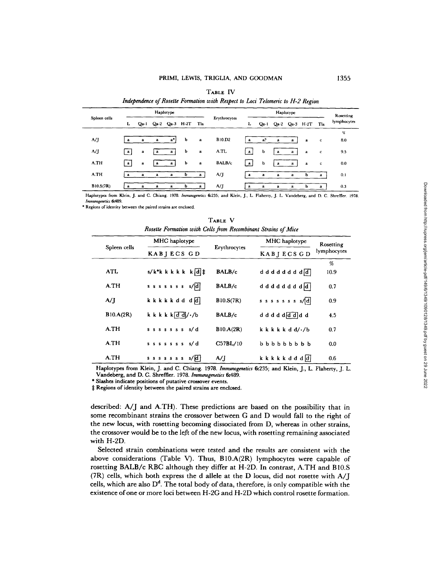|              |              |              |              |              |                |              | ж.            |              |                |              |           |                    |             |             |
|--------------|--------------|--------------|--------------|--------------|----------------|--------------|---------------|--------------|----------------|--------------|-----------|--------------------|-------------|-------------|
|              |              |              |              | Haplotype    |                |              |               |              |                |              | Haplotype |                    |             | Rosetting   |
| Spleen cells | г            | Qa-1         |              |              | Qa-2 Qa-3 H-2T | Tla          | Erythrocytes  | L            | $Qa-1$         |              |           | Qa-2 Qa-3 H-2T Tla |             | lymphocytes |
|              |              |              |              |              |                |              |               |              |                |              |           |                    |             | %           |
| A/J          | a            | $\mathbf{a}$ | $\mathbf{a}$ | a*l          | b              | $\mathbf{a}$ | <b>B10.D2</b> | a            | a <sup>2</sup> | a            | a         | a                  | c           | 8.0         |
| A/J          | ∣a j         | a            | a            | a            | b              | a            | A.TL          | ∣a.          | b              | a            | a         | a                  | $\mathbf c$ | 9.5         |
| A.TH         | l a I        | a            | a            | a l          | b              | a            | BALB/c        | a            | ь              | $\mathbf{a}$ | a         | a                  | c           | 0.0         |
| A.TH         | - 21         | a            | a            | a            | b              | a            | A/J           | a            | a              | a            | a         | b                  | a           | 0.1         |
| B10.S(7R)    | $\mathbf{a}$ | a            | a            | $\mathbf{a}$ | ь              | $\mathbf{a}$ | A/J           | $\mathbf{a}$ | a              | $\mathbf{a}$ | a         | b                  | a           | 0.3         |

TABLE IV *Independence of Rosette Formation with Respect to Loci Telomeric to H-2 Region* 

Haplotypes from Klein, J. and C. Chiang. 1978. *Imrnunogenetzcs* 6:235; and Klein, J., L. Flaherty, J. L. Vandeberg, and D. C. Shreffler. 1978. *Immunogeneties 6:489.* 

\* Regions of identity between the paired strains are enclosed.

TABLE **V**  *Rosette Formation with Cells from Recombinant Strains of Mice* 

|              | MHC haplotype                      |              | MHC haplotype                            | Rosetting   |  |
|--------------|------------------------------------|--------------|------------------------------------------|-------------|--|
| Spleen cells | KABIECS GD                         | Erythrocytes | <b>KABJECSGD</b>                         | lymphocytes |  |
|              |                                    |              |                                          | %           |  |
| <b>ATL</b>   | $s/k^*k k k k k k d$               | BALB/c       | d d d d d d d d d d                      | 10.9        |  |
| A.TH         | $s$ s s s s s s s $s$              | BALB/c       | d d d d d d d d d d d                    | 0.7         |  |
| A/I          | kkkkkdd dd                         | B10.S(7R)    | $s$ s s s s s s s $ d $                  | 0.9         |  |
| B10.A(2R)    | k k k k $\frac{d}{d}$ / $\cdot$ /b | BALB/c       | d d d d d d d d d                        | 4.5         |  |
| A TH         | $s$ s s s s s s s s d              | B10.A(2R)    | $k \, k \, k \, k \, d \, d / \cdot / b$ | 0.7         |  |
| A.TH         | sssssss s/d                        | C57BL/10     | $b$ b b b b b b b b                      | 0.0         |  |
| A.TH         | $s$ s s s s s s s $s$ d            | A/J          | kkkkkdddd                                | 0.6         |  |

Haplotypes from Klein, J. and C. Chiang. 1978. *Immunogenetics* 6:235; and Klein, J., L. Flaherty, J. L. Vandeberg, and D. C. Shreffier. 1978. *Immunogenetics* 6:489.

\* Slashes indicate positions of putative crossover events.

 $\ddagger$  Regions of identity between the paired strains are enclosed.

described: A/J and A.TH). These predictions are based on the possibility that in some recombinant strains the crossover between G and D would fall to the right of the new locus, with rosetting becoming dissociated from D, whereas in other strains, the crossover would be to the left of the new locus, with rosetting remaining associated with H-2D.

Selected strain combinations were tested and the results are consistent with the above considerations (Table V). Thus,  $B10.A(2R)$  lymphocytes were capable of rosetting BALB/c RBC although they differ at H-2D. In contrast, A.TH and B10.S  $(7R)$  cells, which both express the d allele at the D locus, did not rosette with  $A/I$ cells, which are also  $D<sup>d</sup>$ . The total body of data, therefore, is only compatible with the existence of one or more loci between H-2G and H-2D which control rosette formation.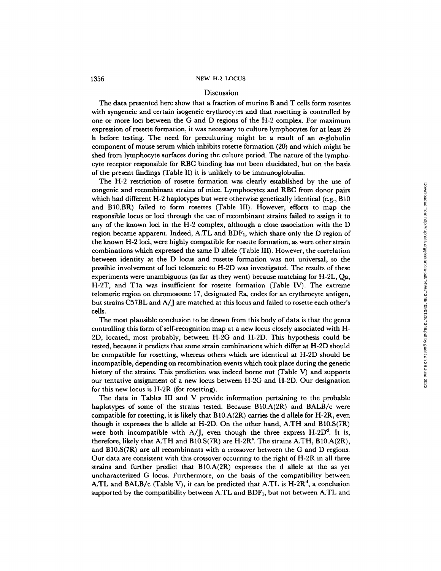## 1356 NEW H-2 LOCUS

## Discussion

The data presented here show that a fraction of murine B and T cells form rosettes with syngeneic and certain isogeneic erythrocytes and that rosetting is controlled by one or more loci between the G and D regions of the H-2 complex. For maximum expression of rosette formation, it was necessary to culture lymphocytes for at least 24 h before testing. The need for preculturing might be a result of an  $\alpha$ -globulin component of mouse serum which inhibits rosette formation (20) and which might be shed from lymphocyte surfaces during the culture period. The nature of the lymphocyte receptor responsible for RBC binding has not been elucidated, but on the basis of the present findings (Table II) it is unlikely to be immunoglobulin.

The H-2 restriction of rosette formation was clearly established by the use of congenic and recombinant strains of mice. Lymphocytes and RBC from donor pairs which had different H-2 haplotypes but were otherwise genetically identical (e.g., B10) and B10.BR) failed to form rosettes (Table III). However, efforts to map the responsible locus or loci through the use of recombinant strains failed to assign it to any of the known loci in the H-2 complex, although a close association with the D region became apparent. Indeed, A.TL and  $BDF<sub>1</sub>$ , which share only the D region of the known H-2 loci, were highly compatible for rosette formation, as were other strain combinations which expressed the same D allele (Table III). However, the correlation between identity at the D locus and rosette formation was not universal, so the possible involvement of loci telomeric to H-2D was investigated. The results of these experiments were unambiguous (as far as they went) because matching for H-2L, Qa, H-2T, and Tla was insufficient for rosette formation (Table IV). The extreme telomeric region on chromosome 17, designated Ea, codes for an erythrocyte antigen, but strains C57BL and A/J are matched at this locus and failed to rosette each other's cells.

The most plausible conclusion to be drawn from this body of data is that the genes controlling this form of self-recognition map at a new locus closely associated with H-2D, located, most probably, between H-2G and H-2D. This hypothesis could be tested, because it predicts that some strain combinations which differ at H-2D should be compatible for rosetting, whereas others which are identical at H-2D should be incompatible, depending on recombination events which took place during the genetic history of the strains. This prediction was indeed borne out (Table V) and supports our tentative assignment of a new locus between H-2G and H-2D. Our designation for this new locus is H-2R (for rosetting).

The data in Tables III and V provide information pertaining to the probable haplotypes of some of the strains tested. Because B10.A(2R) and BALB/c were compatible for rosetting, it is likely that  $B10.A(2R)$  carries the d allele for H-2R, even though it expresses the b allele at H-2D. On the other hand, A.TH and B10.S(TR) were both incompatible with A/J, even though the three express  $H-2D<sup>d</sup>$ . It is, therefore, likely that A.TH and B10.S(7R) are H-2R<sup>8</sup>. The strains A.TH, B10.A(2R), and B10.S(7R) are all recombinants with a crossover between the G and D regions. Our data are consistent with this crossover occurring to the right of H-2R in all three strains and further predict that  $B10.A(2R)$  expresses the d allele at the as yet uncharacterized G locus. Furthermore, on the basis of the compatibility between A.TL and BALB/c (Table V), it can be predicted that A.TL is  $H-2R<sup>d</sup>$ , a conclusion supported by the compatibility between A.TL and  $BDF_1$ , but not between A.TL and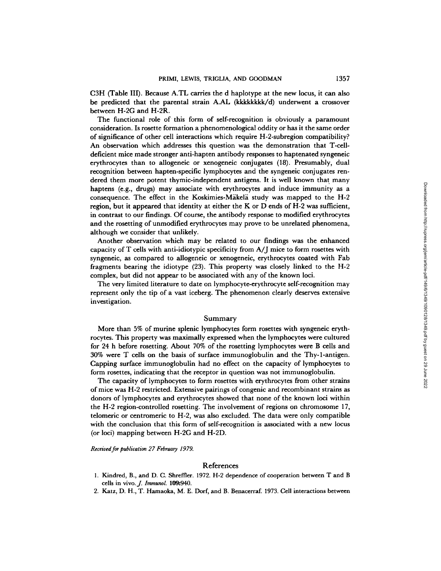C3H (Table III). Because A.TL carries the d haplotype at the new locus, it can also be predicted that the parental strain A.AL (kkkkkkkk/d) underwent a crossover between H-2G and H-2R.

The functional role of this form of self-recognition is obviously a paramount consideration. Is rosette formation a phenomenological oddity or has it the same order of significance of other cell interactions which require H-2-subregion compatibility? An observation which addresses this question was the demonstration that T-celldeficient mice made stronger anti-hapten antibody responses to haptenated syngeneic erythrocytes than to allogeneic or xenogeneic conjugates (18). Presumably, dual recognition between hapten-specific lymphocytes and the syngeneic conjugates rendered them more potent thymic-independent antigens. It is well known that many haptens (e.g., drugs) may associate with erythrocytes and induce immunity as a consequence. The effect in the Koskimies-Mäkelä study was mapped to the H-2 region, but it appeared that identity at either the K or D ends of H-2 was sufficient, in contrast to our findings. Of course, the antibody response to modified erythrocytes and the rosetting of unmodified erythrocytes may prove to be unrelated phenomena, although we consider that unlikely.

Another observation which may be related to our findings was the enhanced capacity of T cells with anti-idiotypic specificity from A/J mice to form rosettes with syngeneic, as compared to allogeneic or xenogeneic, erythrocytes coated with Fab fragments bearing the idiotype (23). This property was closely linked to the H-2 complex, but did not appear to be associated with any of the known loci.

The very limited literature to date on lymphocyte-erythrocyte self-recognition may represent only the tip of a vast iceberg. The phenomenon clearly deserves extensive investigation.

# Summary

More than 5% of murine splenic lymphocytes form rosettes with syngeneic erythrocytes. This property was maximally expressed when the lymphocytes were cultured for 24 h before rosetting. About 70% of the rosetting lymphocytes were B cells and 30% were T cells on the basis of surface immunoglobulin and the Thy-l-antigen. Capping surface immunoglobulin had no effect on the capacity of lymphocytes to form rosettes, indicating that the receptor in question was not immunoglobulin.

The capacity of lymphocytes to form rosettes with erythrocytes from other strains of mice was H-2 restricted. Extensive pairings of congenic and recombinant strains as donors of lymphocytes and erythrocytes showed that none of the known loci within the H-2 region-controlled rosetting. The involvement of regions on chromosome 17, telomeric or centromeric to H-2, was also excluded. The data were only compatible with the conclusion that this form of self-recognition is associated with a new locus (or loci) mapping between H-2G and H-2D.

*Received for publication 27 February 1979.* 

### References

- 1. Kindred, B., and D. C. Shreffler. 1972. H-2 dependence of cooperation between T and B cells in vivo. *J. Immunol.* 109:940.
- 2. Katz, D. H., T. Hamaoka, M. E. Dorf, and B. Benacerraf. 1973. Cell interactions between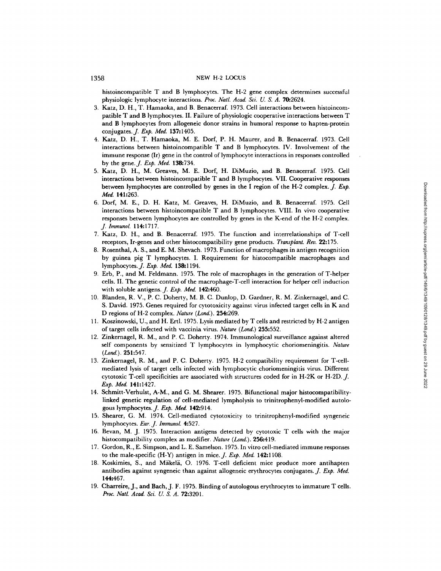#### 1358 NEW H-2 LOCUS

histoincompatible T and B lymphocytes. The H-2 gene complex determines successful physiologic lymphocyte interactions. *Proc. Natl. Acad. Sci. U. S. A.* 70:2624.

- 3. Katz, D. H., T. Hamaoka, and B. Benacerraf. 1973. Cell interactions between histoincompatible T and B lymphocytes. II. Failure of physiologic cooperative interactions between T and B lymphocytes from allogeneic donor strains in humoral response to hapten-protein conjugates.J. *Exp. Med.* 137:1405.
- 4. Katz, D. H., T. Hamaoka, M. E. Dorf, P. H. Maurer, and B. Benacerraf. 1973. Cell interactions between histoincompatible T and B lymphocytes. IV. Involvement of the immune response (Ir) gene in the control of lymphocyte interactions in responses controlled by the gene.J. *Exp. Med.* 138:734.
- 5. Katz, D. H., M. Greaves, M. E. Dorf, H. DiMuzio, and B. Benacerraf. 1975. Cell interactions between histoincompatible T and B lymphocytes. VII. Cooperative responses between lymphocytes are controlled by genes in the I region of the H-2 complex. *J. Exp. Med.* 141:263.
- 6. Dorf, M. E., D. H. Katz, M. Greaves, H. DiMuzio, and B. Benacerraf. 1975. Cell interactions between histoincompatible T and B lymphocytes. VIII. In vivo cooperative responses between lymphocytes are controlled by genes in the K-end of the H-2 complex. *J. lmmunol.* 114:1717.
- 7. Katz, D. H., and B. Benacerraf. 1975. The function and interrelationships of T-cell receptors, Ir-genes and other histocompatibility gene products. *Transplant. Rev.* 22:175.
- 8. Rosenthal, A. S., and E. M. Shevach. 1973. Function of macrophages in antigen recognition by guinea pig T lymphocytes. I. Requirement for histocompatible macrophages and lymphocytes.J. *Exp. Med.* 138:1194.
- 9. Erb, P., and M. Feldmann. 1975. The role of macrophages in the generation of T-helper cells. II. The genetic control of the macrophage-T-cell interaction for helper cell induction with soluble antigens..]. *Exp. Med.* 142:460.
- 10. Blanden, R. V., P. C. Doherty, M. B. C. Dunlop, D. Gardner, R. M. Zinkernagel, and C. S. David. 1975. Genes required for cytotoxicity against virus infected target cells in K and D regions of H-2 complex. *Nature (Lond.).* 254:269.
- 11. Koszinowski, U., and H. Ertl. 1975. Lysis mediated by T cells and restricted by H-2 antigen of target cells infected with vaccinia virus. *Nature (Lond.)* 255:552.
- 12. Zinkernagel, R. M., and P. C. Doherty. 1974. Immunological surveillance against altered self components by sensitized T lymphocytes in lymphocytic choriomeningitis. *Nature ( Lond. ) .* 251:547.
- 13. Zinkernagel, R. M., and P. C. Doherty. 1975. H-2 compatibility requirement for T-cellmediated lysis of target cells infected with lymphocytic choriomeningitis virus. Different cytotoxic T-cell specificities are associated with structures coded for in H-2K or H-2D.  $J$ . *Exp. Med.* 141:1427.
- 14. Schmitt-Verhulst, A-M., and G. M. Shearer. 1975. Bifunctional major histocompatibilitylinked genetic regulation of cell-mediated lympholysis to trinitrophenyl-modified autologous lymphocytes.J. *Exp. Med.* 142:914.
- 15. Shearer, G. M. 1974. Cell-mediated cytotoxicity to trinitrophenyl-modified syngeneic lymphocytes. *Eur. J. Immunol.* 4:527.
- 16. Bevan, M. J. 1975. Interaction antigens detected by cytotoxic T cells with the major histoeompatibility complex as modifier. *Nature (Lond.).* 256:419.
- 17. Gordon, R., E. Simpson, and L. E. Samelson. 1975. In vitro cell-mediated immune responses to the male-specific (H-Y) antigen in mice.J. *Exp. Med.* 142:1108.
- 18. Koskimies, S., and Mäkelä, O. 1976. T-cell deficient mice produce more antihapten antibodies against syngeneic than against allogeneic erythrocytes conjugates. *J. Exp. Med.*  144:467.
- 19. Charreire, J., and Bach, J. F. 1975. Binding of autologous erythrocytes to immature T cells. *Proc. NatL Acad. Sci. U. S. A.* 72:3201.